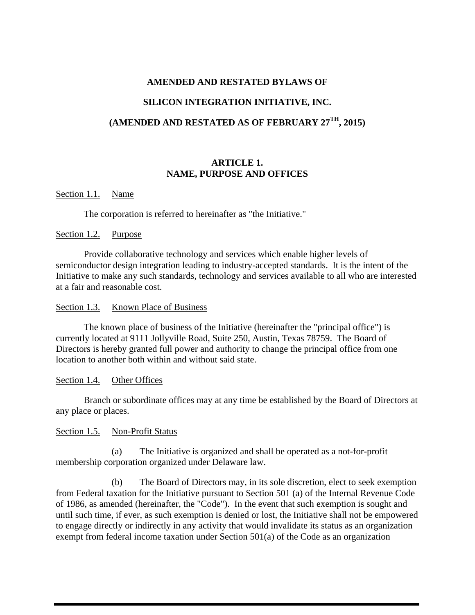# **AMENDED AND RESTATED BYLAWS OF**

#### **SILICON INTEGRATION INITIATIVE, INC.**

#### **(AMENDED AND RESTATED AS OF FEBRUARY 27TH, 2015)**

#### **ARTICLE 1. NAME, PURPOSE AND OFFICES**

#### Section 1.1. Name

The corporation is referred to hereinafter as "the Initiative."

#### Section 1.2. Purpose

Provide collaborative technology and services which enable higher levels of semiconductor design integration leading to industry-accepted standards. It is the intent of the Initiative to make any such standards, technology and services available to all who are interested at a fair and reasonable cost.

#### Section 1.3. Known Place of Business

The known place of business of the Initiative (hereinafter the "principal office") is currently located at 9111 Jollyville Road, Suite 250, Austin, Texas 78759. The Board of Directors is hereby granted full power and authority to change the principal office from one location to another both within and without said state.

#### Section 1.4. Other Offices

Branch or subordinate offices may at any time be established by the Board of Directors at any place or places.

#### Section 1.5. Non-Profit Status

(a) The Initiative is organized and shall be operated as a not-for-profit membership corporation organized under Delaware law.

(b) The Board of Directors may, in its sole discretion, elect to seek exemption from Federal taxation for the Initiative pursuant to Section 501 (a) of the Internal Revenue Code of 1986, as amended (hereinafter, the "Code"). In the event that such exemption is sought and until such time, if ever, as such exemption is denied or lost, the Initiative shall not be empowered to engage directly or indirectly in any activity that would invalidate its status as an organization exempt from federal income taxation under Section 501(a) of the Code as an organization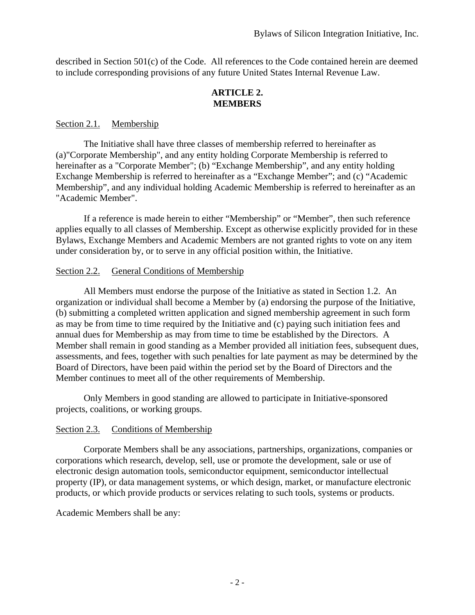described in Section 501(c) of the Code. All references to the Code contained herein are deemed to include corresponding provisions of any future United States Internal Revenue Law.

#### **ARTICLE 2. MEMBERS**

#### Section 2.1. Membership

The Initiative shall have three classes of membership referred to hereinafter as (a)"Corporate Membership", and any entity holding Corporate Membership is referred to hereinafter as a "Corporate Member"; (b) "Exchange Membership", and any entity holding Exchange Membership is referred to hereinafter as a "Exchange Member"; and (c) "Academic Membership", and any individual holding Academic Membership is referred to hereinafter as an "Academic Member".

If a reference is made herein to either "Membership" or "Member", then such reference applies equally to all classes of Membership. Except as otherwise explicitly provided for in these Bylaws, Exchange Members and Academic Members are not granted rights to vote on any item under consideration by, or to serve in any official position within, the Initiative.

#### Section 2.2. General Conditions of Membership

All Members must endorse the purpose of the Initiative as stated in Section 1.2. An organization or individual shall become a Member by (a) endorsing the purpose of the Initiative, (b) submitting a completed written application and signed membership agreement in such form as may be from time to time required by the Initiative and (c) paying such initiation fees and annual dues for Membership as may from time to time be established by the Directors. A Member shall remain in good standing as a Member provided all initiation fees, subsequent dues, assessments, and fees, together with such penalties for late payment as may be determined by the Board of Directors, have been paid within the period set by the Board of Directors and the Member continues to meet all of the other requirements of Membership.

Only Members in good standing are allowed to participate in Initiative-sponsored projects, coalitions, or working groups.

# Section 2.3. Conditions of Membership

Corporate Members shall be any associations, partnerships, organizations, companies or corporations which research, develop, sell, use or promote the development, sale or use of electronic design automation tools, semiconductor equipment, semiconductor intellectual property (IP), or data management systems, or which design, market, or manufacture electronic products, or which provide products or services relating to such tools, systems or products.

Academic Members shall be any: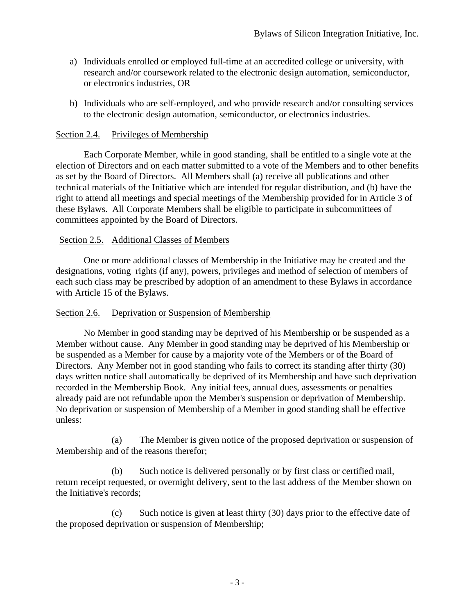- a) Individuals enrolled or employed full-time at an accredited college or university, with research and/or coursework related to the electronic design automation, semiconductor, or electronics industries, OR
- b) Individuals who are self-employed, and who provide research and/or consulting services to the electronic design automation, semiconductor, or electronics industries.

# Section 2.4. Privileges of Membership

Each Corporate Member, while in good standing, shall be entitled to a single vote at the election of Directors and on each matter submitted to a vote of the Members and to other benefits as set by the Board of Directors. All Members shall (a) receive all publications and other technical materials of the Initiative which are intended for regular distribution, and (b) have the right to attend all meetings and special meetings of the Membership provided for in Article 3 of these Bylaws. All Corporate Members shall be eligible to participate in subcommittees of committees appointed by the Board of Directors.

# Section 2.5. Additional Classes of Members

One or more additional classes of Membership in the Initiative may be created and the designations, voting rights (if any), powers, privileges and method of selection of members of each such class may be prescribed by adoption of an amendment to these Bylaws in accordance with Article 15 of the Bylaws.

# Section 2.6. Deprivation or Suspension of Membership

No Member in good standing may be deprived of his Membership or be suspended as a Member without cause. Any Member in good standing may be deprived of his Membership or be suspended as a Member for cause by a majority vote of the Members or of the Board of Directors. Any Member not in good standing who fails to correct its standing after thirty (30) days written notice shall automatically be deprived of its Membership and have such deprivation recorded in the Membership Book. Any initial fees, annual dues, assessments or penalties already paid are not refundable upon the Member's suspension or deprivation of Membership. No deprivation or suspension of Membership of a Member in good standing shall be effective unless:

(a) The Member is given notice of the proposed deprivation or suspension of Membership and of the reasons therefor;

(b) Such notice is delivered personally or by first class or certified mail, return receipt requested, or overnight delivery, sent to the last address of the Member shown on the Initiative's records;

(c) Such notice is given at least thirty (30) days prior to the effective date of the proposed deprivation or suspension of Membership;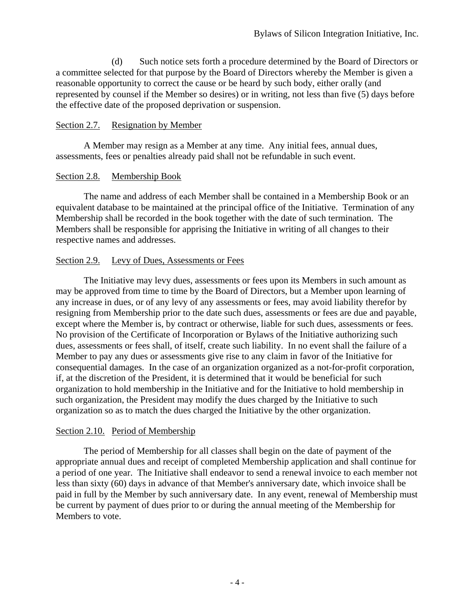(d) Such notice sets forth a procedure determined by the Board of Directors or a committee selected for that purpose by the Board of Directors whereby the Member is given a reasonable opportunity to correct the cause or be heard by such body, either orally (and represented by counsel if the Member so desires) or in writing, not less than five (5) days before the effective date of the proposed deprivation or suspension.

#### Section 2.7. Resignation by Member

A Member may resign as a Member at any time. Any initial fees, annual dues, assessments, fees or penalties already paid shall not be refundable in such event.

# Section 2.8. Membership Book

The name and address of each Member shall be contained in a Membership Book or an equivalent database to be maintained at the principal office of the Initiative. Termination of any Membership shall be recorded in the book together with the date of such termination. The Members shall be responsible for apprising the Initiative in writing of all changes to their respective names and addresses.

# Section 2.9. Levy of Dues, Assessments or Fees

The Initiative may levy dues, assessments or fees upon its Members in such amount as may be approved from time to time by the Board of Directors, but a Member upon learning of any increase in dues, or of any levy of any assessments or fees, may avoid liability therefor by resigning from Membership prior to the date such dues, assessments or fees are due and payable, except where the Member is, by contract or otherwise, liable for such dues, assessments or fees. No provision of the Certificate of Incorporation or Bylaws of the Initiative authorizing such dues, assessments or fees shall, of itself, create such liability. In no event shall the failure of a Member to pay any dues or assessments give rise to any claim in favor of the Initiative for consequential damages. In the case of an organization organized as a not-for-profit corporation, if, at the discretion of the President, it is determined that it would be beneficial for such organization to hold membership in the Initiative and for the Initiative to hold membership in such organization, the President may modify the dues charged by the Initiative to such organization so as to match the dues charged the Initiative by the other organization.

# Section 2.10. Period of Membership

The period of Membership for all classes shall begin on the date of payment of the appropriate annual dues and receipt of completed Membership application and shall continue for a period of one year. The Initiative shall endeavor to send a renewal invoice to each member not less than sixty (60) days in advance of that Member's anniversary date, which invoice shall be paid in full by the Member by such anniversary date. In any event, renewal of Membership must be current by payment of dues prior to or during the annual meeting of the Membership for Members to vote.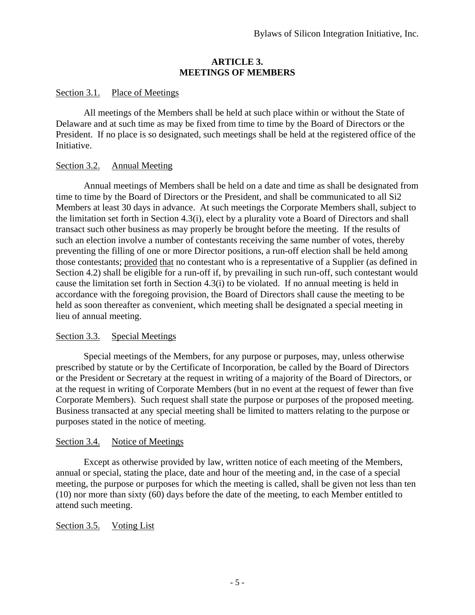# **ARTICLE 3. MEETINGS OF MEMBERS**

# Section 3.1. Place of Meetings

All meetings of the Members shall be held at such place within or without the State of Delaware and at such time as may be fixed from time to time by the Board of Directors or the President. If no place is so designated, such meetings shall be held at the registered office of the Initiative.

# Section 3.2. Annual Meeting

Annual meetings of Members shall be held on a date and time as shall be designated from time to time by the Board of Directors or the President, and shall be communicated to all Si2 Members at least 30 days in advance. At such meetings the Corporate Members shall, subject to the limitation set forth in Section 4.3(i), elect by a plurality vote a Board of Directors and shall transact such other business as may properly be brought before the meeting. If the results of such an election involve a number of contestants receiving the same number of votes, thereby preventing the filling of one or more Director positions, a run-off election shall be held among those contestants; provided that no contestant who is a representative of a Supplier (as defined in Section 4.2) shall be eligible for a run-off if, by prevailing in such run-off, such contestant would cause the limitation set forth in Section 4.3(i) to be violated. If no annual meeting is held in accordance with the foregoing provision, the Board of Directors shall cause the meeting to be held as soon thereafter as convenient, which meeting shall be designated a special meeting in lieu of annual meeting.

# Section 3.3. Special Meetings

Special meetings of the Members, for any purpose or purposes, may, unless otherwise prescribed by statute or by the Certificate of Incorporation, be called by the Board of Directors or the President or Secretary at the request in writing of a majority of the Board of Directors, or at the request in writing of Corporate Members (but in no event at the request of fewer than five Corporate Members). Such request shall state the purpose or purposes of the proposed meeting. Business transacted at any special meeting shall be limited to matters relating to the purpose or purposes stated in the notice of meeting.

# Section 3.4. Notice of Meetings

Except as otherwise provided by law, written notice of each meeting of the Members, annual or special, stating the place, date and hour of the meeting and, in the case of a special meeting, the purpose or purposes for which the meeting is called, shall be given not less than ten (10) nor more than sixty (60) days before the date of the meeting, to each Member entitled to attend such meeting.

# Section 3.5. Voting List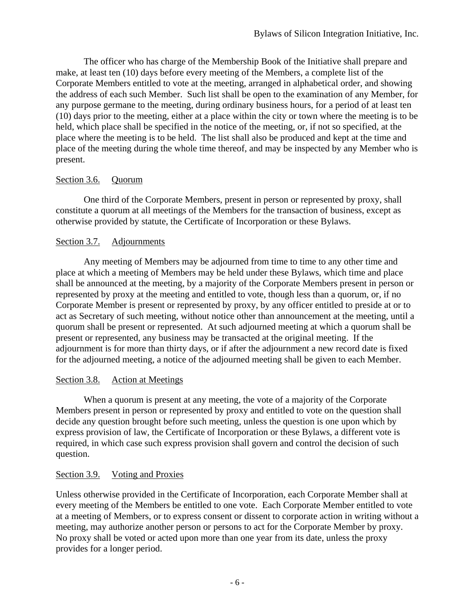The officer who has charge of the Membership Book of the Initiative shall prepare and make, at least ten (10) days before every meeting of the Members, a complete list of the Corporate Members entitled to vote at the meeting, arranged in alphabetical order, and showing the address of each such Member. Such list shall be open to the examination of any Member, for any purpose germane to the meeting, during ordinary business hours, for a period of at least ten (10) days prior to the meeting, either at a place within the city or town where the meeting is to be held, which place shall be specified in the notice of the meeting, or, if not so specified, at the place where the meeting is to be held. The list shall also be produced and kept at the time and place of the meeting during the whole time thereof, and may be inspected by any Member who is present.

# Section 3.6. Quorum

One third of the Corporate Members, present in person or represented by proxy, shall constitute a quorum at all meetings of the Members for the transaction of business, except as otherwise provided by statute, the Certificate of Incorporation or these Bylaws.

# Section 3.7. Adjournments

Any meeting of Members may be adjourned from time to time to any other time and place at which a meeting of Members may be held under these Bylaws, which time and place shall be announced at the meeting, by a majority of the Corporate Members present in person or represented by proxy at the meeting and entitled to vote, though less than a quorum, or, if no Corporate Member is present or represented by proxy, by any officer entitled to preside at or to act as Secretary of such meeting, without notice other than announcement at the meeting, until a quorum shall be present or represented. At such adjourned meeting at which a quorum shall be present or represented, any business may be transacted at the original meeting. If the adjournment is for more than thirty days, or if after the adjournment a new record date is fixed for the adjourned meeting, a notice of the adjourned meeting shall be given to each Member.

# Section 3.8. Action at Meetings

When a quorum is present at any meeting, the vote of a majority of the Corporate Members present in person or represented by proxy and entitled to vote on the question shall decide any question brought before such meeting, unless the question is one upon which by express provision of law, the Certificate of Incorporation or these Bylaws, a different vote is required, in which case such express provision shall govern and control the decision of such question.

# Section 3.9. Voting and Proxies

Unless otherwise provided in the Certificate of Incorporation, each Corporate Member shall at every meeting of the Members be entitled to one vote. Each Corporate Member entitled to vote at a meeting of Members, or to express consent or dissent to corporate action in writing without a meeting, may authorize another person or persons to act for the Corporate Member by proxy. No proxy shall be voted or acted upon more than one year from its date, unless the proxy provides for a longer period.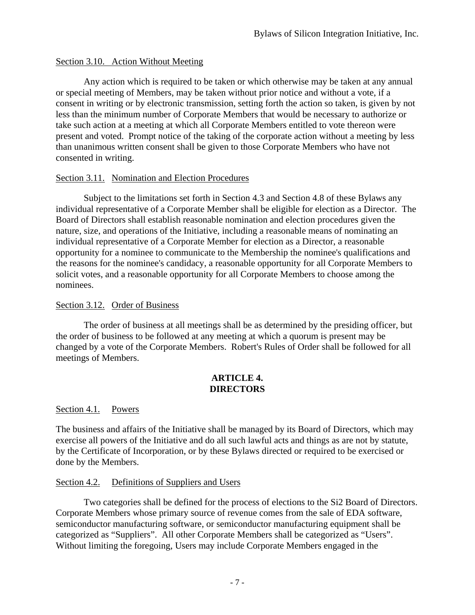# Section 3.10. Action Without Meeting

Any action which is required to be taken or which otherwise may be taken at any annual or special meeting of Members, may be taken without prior notice and without a vote, if a consent in writing or by electronic transmission, setting forth the action so taken, is given by not less than the minimum number of Corporate Members that would be necessary to authorize or take such action at a meeting at which all Corporate Members entitled to vote thereon were present and voted. Prompt notice of the taking of the corporate action without a meeting by less than unanimous written consent shall be given to those Corporate Members who have not consented in writing.

# Section 3.11. Nomination and Election Procedures

Subject to the limitations set forth in Section 4.3 and Section 4.8 of these Bylaws any individual representative of a Corporate Member shall be eligible for election as a Director. The Board of Directors shall establish reasonable nomination and election procedures given the nature, size, and operations of the Initiative, including a reasonable means of nominating an individual representative of a Corporate Member for election as a Director, a reasonable opportunity for a nominee to communicate to the Membership the nominee's qualifications and the reasons for the nominee's candidacy, a reasonable opportunity for all Corporate Members to solicit votes, and a reasonable opportunity for all Corporate Members to choose among the nominees.

# Section 3.12. Order of Business

The order of business at all meetings shall be as determined by the presiding officer, but the order of business to be followed at any meeting at which a quorum is present may be changed by a vote of the Corporate Members. Robert's Rules of Order shall be followed for all meetings of Members.

#### **ARTICLE 4. DIRECTORS**

Section 4.1. Powers

The business and affairs of the Initiative shall be managed by its Board of Directors, which may exercise all powers of the Initiative and do all such lawful acts and things as are not by statute, by the Certificate of Incorporation, or by these Bylaws directed or required to be exercised or done by the Members.

# Section 4.2. Definitions of Suppliers and Users

 Two categories shall be defined for the process of elections to the Si2 Board of Directors. Corporate Members whose primary source of revenue comes from the sale of EDA software, semiconductor manufacturing software, or semiconductor manufacturing equipment shall be categorized as "Suppliers". All other Corporate Members shall be categorized as "Users". Without limiting the foregoing, Users may include Corporate Members engaged in the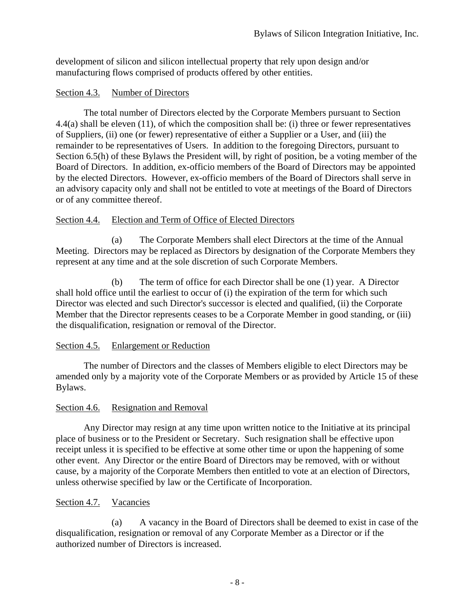development of silicon and silicon intellectual property that rely upon design and/or manufacturing flows comprised of products offered by other entities.

# Section 4.3. Number of Directors

The total number of Directors elected by the Corporate Members pursuant to Section 4.4(a) shall be eleven (11), of which the composition shall be: (i) three or fewer representatives of Suppliers, (ii) one (or fewer) representative of either a Supplier or a User, and (iii) the remainder to be representatives of Users. In addition to the foregoing Directors, pursuant to Section 6.5(h) of these Bylaws the President will, by right of position, be a voting member of the Board of Directors. In addition, ex-officio members of the Board of Directors may be appointed by the elected Directors. However, ex-officio members of the Board of Directors shall serve in an advisory capacity only and shall not be entitled to vote at meetings of the Board of Directors or of any committee thereof.

# Section 4.4. Election and Term of Office of Elected Directors

(a) The Corporate Members shall elect Directors at the time of the Annual Meeting. Directors may be replaced as Directors by designation of the Corporate Members they represent at any time and at the sole discretion of such Corporate Members.

(b) The term of office for each Director shall be one (1) year. A Director shall hold office until the earliest to occur of (i) the expiration of the term for which such Director was elected and such Director's successor is elected and qualified, (ii) the Corporate Member that the Director represents ceases to be a Corporate Member in good standing, or (iii) the disqualification, resignation or removal of the Director.

# Section 4.5. Enlargement or Reduction

The number of Directors and the classes of Members eligible to elect Directors may be amended only by a majority vote of the Corporate Members or as provided by Article 15 of these Bylaws.

# Section 4.6. Resignation and Removal

Any Director may resign at any time upon written notice to the Initiative at its principal place of business or to the President or Secretary. Such resignation shall be effective upon receipt unless it is specified to be effective at some other time or upon the happening of some other event. Any Director or the entire Board of Directors may be removed, with or without cause, by a majority of the Corporate Members then entitled to vote at an election of Directors, unless otherwise specified by law or the Certificate of Incorporation.

# Section 4.7. Vacancies

(a) A vacancy in the Board of Directors shall be deemed to exist in case of the disqualification, resignation or removal of any Corporate Member as a Director or if the authorized number of Directors is increased.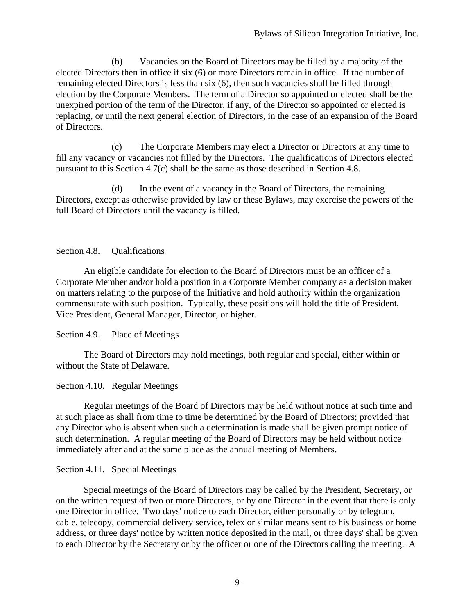(b) Vacancies on the Board of Directors may be filled by a majority of the elected Directors then in office if six (6) or more Directors remain in office. If the number of remaining elected Directors is less than six (6), then such vacancies shall be filled through election by the Corporate Members. The term of a Director so appointed or elected shall be the unexpired portion of the term of the Director, if any, of the Director so appointed or elected is replacing, or until the next general election of Directors, in the case of an expansion of the Board of Directors.

(c) The Corporate Members may elect a Director or Directors at any time to fill any vacancy or vacancies not filled by the Directors. The qualifications of Directors elected pursuant to this Section 4.7(c) shall be the same as those described in Section 4.8.

(d) In the event of a vacancy in the Board of Directors, the remaining Directors, except as otherwise provided by law or these Bylaws, may exercise the powers of the full Board of Directors until the vacancy is filled.

# Section 4.8. Qualifications

An eligible candidate for election to the Board of Directors must be an officer of a Corporate Member and/or hold a position in a Corporate Member company as a decision maker on matters relating to the purpose of the Initiative and hold authority within the organization commensurate with such position. Typically, these positions will hold the title of President, Vice President, General Manager, Director, or higher.

# Section 4.9. Place of Meetings

The Board of Directors may hold meetings, both regular and special, either within or without the State of Delaware.

# Section 4.10. Regular Meetings

Regular meetings of the Board of Directors may be held without notice at such time and at such place as shall from time to time be determined by the Board of Directors; provided that any Director who is absent when such a determination is made shall be given prompt notice of such determination. A regular meeting of the Board of Directors may be held without notice immediately after and at the same place as the annual meeting of Members.

# Section 4.11. Special Meetings

Special meetings of the Board of Directors may be called by the President, Secretary, or on the written request of two or more Directors, or by one Director in the event that there is only one Director in office. Two days' notice to each Director, either personally or by telegram, cable, telecopy, commercial delivery service, telex or similar means sent to his business or home address, or three days' notice by written notice deposited in the mail, or three days' shall be given to each Director by the Secretary or by the officer or one of the Directors calling the meeting. A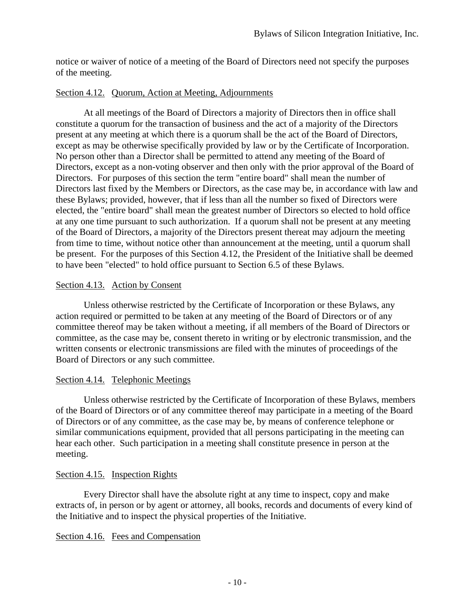notice or waiver of notice of a meeting of the Board of Directors need not specify the purposes of the meeting.

# Section 4.12. Quorum, Action at Meeting, Adjournments

At all meetings of the Board of Directors a majority of Directors then in office shall constitute a quorum for the transaction of business and the act of a majority of the Directors present at any meeting at which there is a quorum shall be the act of the Board of Directors, except as may be otherwise specifically provided by law or by the Certificate of Incorporation. No person other than a Director shall be permitted to attend any meeting of the Board of Directors, except as a non-voting observer and then only with the prior approval of the Board of Directors. For purposes of this section the term "entire board" shall mean the number of Directors last fixed by the Members or Directors, as the case may be, in accordance with law and these Bylaws; provided, however, that if less than all the number so fixed of Directors were elected, the "entire board" shall mean the greatest number of Directors so elected to hold office at any one time pursuant to such authorization. If a quorum shall not be present at any meeting of the Board of Directors, a majority of the Directors present thereat may adjourn the meeting from time to time, without notice other than announcement at the meeting, until a quorum shall be present. For the purposes of this Section 4.12, the President of the Initiative shall be deemed to have been "elected" to hold office pursuant to Section 6.5 of these Bylaws.

# Section 4.13. Action by Consent

Unless otherwise restricted by the Certificate of Incorporation or these Bylaws, any action required or permitted to be taken at any meeting of the Board of Directors or of any committee thereof may be taken without a meeting, if all members of the Board of Directors or committee, as the case may be, consent thereto in writing or by electronic transmission, and the written consents or electronic transmissions are filed with the minutes of proceedings of the Board of Directors or any such committee.

# Section 4.14. Telephonic Meetings

Unless otherwise restricted by the Certificate of Incorporation of these Bylaws, members of the Board of Directors or of any committee thereof may participate in a meeting of the Board of Directors or of any committee, as the case may be, by means of conference telephone or similar communications equipment, provided that all persons participating in the meeting can hear each other. Such participation in a meeting shall constitute presence in person at the meeting.

# Section 4.15. Inspection Rights

Every Director shall have the absolute right at any time to inspect, copy and make extracts of, in person or by agent or attorney, all books, records and documents of every kind of the Initiative and to inspect the physical properties of the Initiative.

# Section 4.16. Fees and Compensation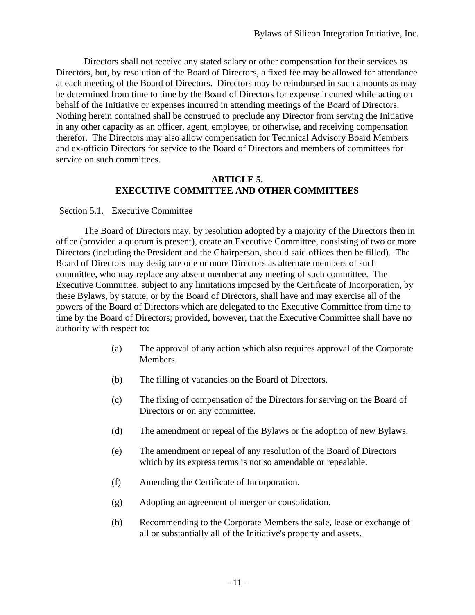Directors shall not receive any stated salary or other compensation for their services as Directors, but, by resolution of the Board of Directors, a fixed fee may be allowed for attendance at each meeting of the Board of Directors. Directors may be reimbursed in such amounts as may be determined from time to time by the Board of Directors for expense incurred while acting on behalf of the Initiative or expenses incurred in attending meetings of the Board of Directors. Nothing herein contained shall be construed to preclude any Director from serving the Initiative in any other capacity as an officer, agent, employee, or otherwise, and receiving compensation therefor. The Directors may also allow compensation for Technical Advisory Board Members and ex-officio Directors for service to the Board of Directors and members of committees for service on such committees.

#### **ARTICLE 5. EXECUTIVE COMMITTEE AND OTHER COMMITTEES**

# Section 5.1. Executive Committee

The Board of Directors may, by resolution adopted by a majority of the Directors then in office (provided a quorum is present), create an Executive Committee, consisting of two or more Directors (including the President and the Chairperson, should said offices then be filled). The Board of Directors may designate one or more Directors as alternate members of such committee, who may replace any absent member at any meeting of such committee. The Executive Committee, subject to any limitations imposed by the Certificate of Incorporation, by these Bylaws, by statute, or by the Board of Directors, shall have and may exercise all of the powers of the Board of Directors which are delegated to the Executive Committee from time to time by the Board of Directors; provided, however, that the Executive Committee shall have no authority with respect to:

- (a) The approval of any action which also requires approval of the Corporate Members.
- (b) The filling of vacancies on the Board of Directors.
- (c) The fixing of compensation of the Directors for serving on the Board of Directors or on any committee.
- (d) The amendment or repeal of the Bylaws or the adoption of new Bylaws.
- (e) The amendment or repeal of any resolution of the Board of Directors which by its express terms is not so amendable or repealable.
- (f) Amending the Certificate of Incorporation.
- (g) Adopting an agreement of merger or consolidation.
- (h) Recommending to the Corporate Members the sale, lease or exchange of all or substantially all of the Initiative's property and assets.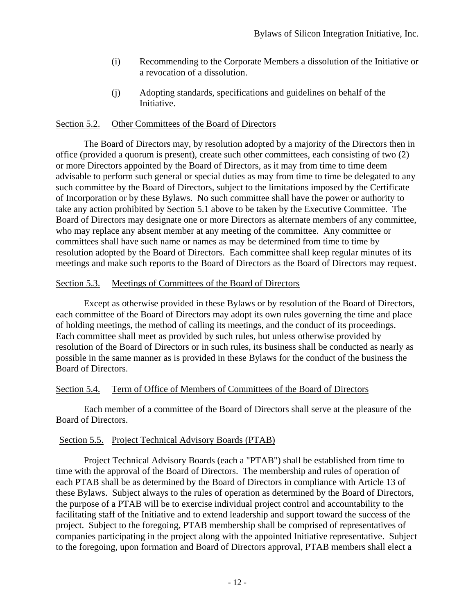- (i) Recommending to the Corporate Members a dissolution of the Initiative or a revocation of a dissolution.
- (j) Adopting standards, specifications and guidelines on behalf of the Initiative.

# Section 5.2. Other Committees of the Board of Directors

The Board of Directors may, by resolution adopted by a majority of the Directors then in office (provided a quorum is present), create such other committees, each consisting of two (2) or more Directors appointed by the Board of Directors, as it may from time to time deem advisable to perform such general or special duties as may from time to time be delegated to any such committee by the Board of Directors, subject to the limitations imposed by the Certificate of Incorporation or by these Bylaws. No such committee shall have the power or authority to take any action prohibited by Section 5.1 above to be taken by the Executive Committee. The Board of Directors may designate one or more Directors as alternate members of any committee, who may replace any absent member at any meeting of the committee. Any committee or committees shall have such name or names as may be determined from time to time by resolution adopted by the Board of Directors. Each committee shall keep regular minutes of its meetings and make such reports to the Board of Directors as the Board of Directors may request.

# Section 5.3. Meetings of Committees of the Board of Directors

Except as otherwise provided in these Bylaws or by resolution of the Board of Directors, each committee of the Board of Directors may adopt its own rules governing the time and place of holding meetings, the method of calling its meetings, and the conduct of its proceedings. Each committee shall meet as provided by such rules, but unless otherwise provided by resolution of the Board of Directors or in such rules, its business shall be conducted as nearly as possible in the same manner as is provided in these Bylaws for the conduct of the business the Board of Directors.

# Section 5.4. Term of Office of Members of Committees of the Board of Directors

Each member of a committee of the Board of Directors shall serve at the pleasure of the Board of Directors.

# Section 5.5. Project Technical Advisory Boards (PTAB)

Project Technical Advisory Boards (each a "PTAB") shall be established from time to time with the approval of the Board of Directors. The membership and rules of operation of each PTAB shall be as determined by the Board of Directors in compliance with Article 13 of these Bylaws. Subject always to the rules of operation as determined by the Board of Directors, the purpose of a PTAB will be to exercise individual project control and accountability to the facilitating staff of the Initiative and to extend leadership and support toward the success of the project. Subject to the foregoing, PTAB membership shall be comprised of representatives of companies participating in the project along with the appointed Initiative representative. Subject to the foregoing, upon formation and Board of Directors approval, PTAB members shall elect a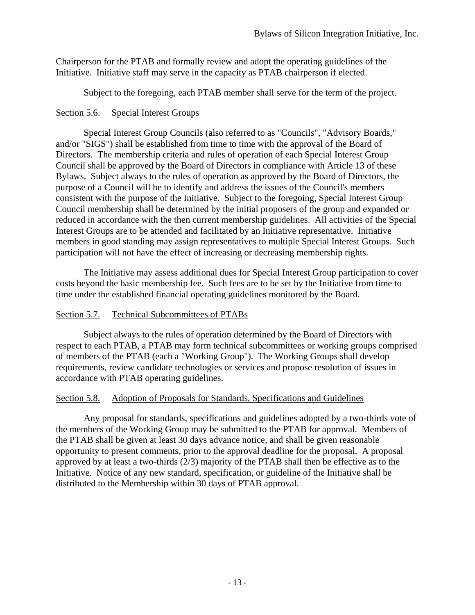Chairperson for the PTAB and formally review and adopt the operating guidelines of the Initiative. Initiative staff may serve in the capacity as PTAB chairperson if elected.

Subject to the foregoing, each PTAB member shall serve for the term of the project.

# Section 5.6. Special Interest Groups

Special Interest Group Councils (also referred to as "Councils", "Advisory Boards," and/or "SIGS") shall be established from time to time with the approval of the Board of Directors. The membership criteria and rules of operation of each Special Interest Group Council shall be approved by the Board of Directors in compliance with Article 13 of these Bylaws. Subject always to the rules of operation as approved by the Board of Directors, the purpose of a Council will be to identify and address the issues of the Council's members consistent with the purpose of the Initiative. Subject to the foregoing, Special Interest Group Council membership shall be determined by the initial proposers of the group and expanded or reduced in accordance with the then current membership guidelines. All activities of the Special Interest Groups are to be attended and facilitated by an Initiative representative. Initiative members in good standing may assign representatives to multiple Special Interest Groups. Such participation will not have the effect of increasing or decreasing membership rights.

The Initiative may assess additional dues for Special Interest Group participation to cover costs beyond the basic membership fee. Such fees are to be set by the Initiative from time to time under the established financial operating guidelines monitored by the Board.

# Section 5.7. Technical Subcommittees of PTABs

Subject always to the rules of operation determined by the Board of Directors with respect to each PTAB, a PTAB may form technical subcommittees or working groups comprised of members of the PTAB (each a "Working Group"). The Working Groups shall develop requirements, review candidate technologies or services and propose resolution of issues in accordance with PTAB operating guidelines.

# Section 5.8. Adoption of Proposals for Standards, Specifications and Guidelines

Any proposal for standards, specifications and guidelines adopted by a two-thirds vote of the members of the Working Group may be submitted to the PTAB for approval. Members of the PTAB shall be given at least 30 days advance notice, and shall be given reasonable opportunity to present comments, prior to the approval deadline for the proposal. A proposal approved by at least a two-thirds (2/3) majority of the PTAB shall then be effective as to the Initiative. Notice of any new standard, specification, or guideline of the Initiative shall be distributed to the Membership within 30 days of PTAB approval.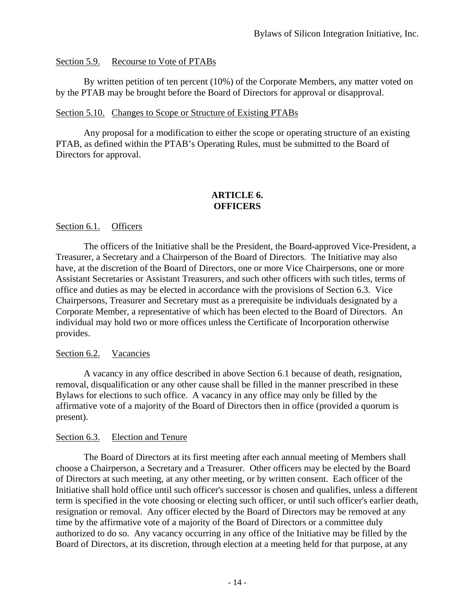# Section 5.9. Recourse to Vote of PTABs

By written petition of ten percent (10%) of the Corporate Members, any matter voted on by the PTAB may be brought before the Board of Directors for approval or disapproval.

#### Section 5.10. Changes to Scope or Structure of Existing PTABs

Any proposal for a modification to either the scope or operating structure of an existing PTAB, as defined within the PTAB's Operating Rules, must be submitted to the Board of Directors for approval.

# **ARTICLE 6. OFFICERS**

#### Section 6.1. Officers

The officers of the Initiative shall be the President, the Board-approved Vice-President, a Treasurer, a Secretary and a Chairperson of the Board of Directors. The Initiative may also have, at the discretion of the Board of Directors, one or more Vice Chairpersons, one or more Assistant Secretaries or Assistant Treasurers, and such other officers with such titles, terms of office and duties as may be elected in accordance with the provisions of Section 6.3. Vice Chairpersons, Treasurer and Secretary must as a prerequisite be individuals designated by a Corporate Member, a representative of which has been elected to the Board of Directors. An individual may hold two or more offices unless the Certificate of Incorporation otherwise provides.

#### Section 6.2. Vacancies

A vacancy in any office described in above Section 6.1 because of death, resignation, removal, disqualification or any other cause shall be filled in the manner prescribed in these Bylaws for elections to such office. A vacancy in any office may only be filled by the affirmative vote of a majority of the Board of Directors then in office (provided a quorum is present).

#### Section 6.3. Election and Tenure

The Board of Directors at its first meeting after each annual meeting of Members shall choose a Chairperson, a Secretary and a Treasurer. Other officers may be elected by the Board of Directors at such meeting, at any other meeting, or by written consent. Each officer of the Initiative shall hold office until such officer's successor is chosen and qualifies, unless a different term is specified in the vote choosing or electing such officer, or until such officer's earlier death, resignation or removal. Any officer elected by the Board of Directors may be removed at any time by the affirmative vote of a majority of the Board of Directors or a committee duly authorized to do so. Any vacancy occurring in any office of the Initiative may be filled by the Board of Directors, at its discretion, through election at a meeting held for that purpose, at any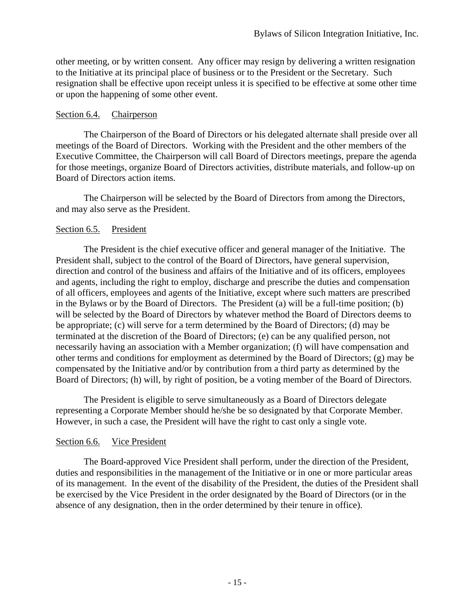other meeting, or by written consent. Any officer may resign by delivering a written resignation to the Initiative at its principal place of business or to the President or the Secretary. Such resignation shall be effective upon receipt unless it is specified to be effective at some other time or upon the happening of some other event.

#### Section 6.4. Chairperson

The Chairperson of the Board of Directors or his delegated alternate shall preside over all meetings of the Board of Directors. Working with the President and the other members of the Executive Committee, the Chairperson will call Board of Directors meetings, prepare the agenda for those meetings, organize Board of Directors activities, distribute materials, and follow-up on Board of Directors action items.

The Chairperson will be selected by the Board of Directors from among the Directors, and may also serve as the President.

# Section 6.5. President

The President is the chief executive officer and general manager of the Initiative. The President shall, subject to the control of the Board of Directors, have general supervision, direction and control of the business and affairs of the Initiative and of its officers, employees and agents, including the right to employ, discharge and prescribe the duties and compensation of all officers, employees and agents of the Initiative, except where such matters are prescribed in the Bylaws or by the Board of Directors. The President (a) will be a full-time position; (b) will be selected by the Board of Directors by whatever method the Board of Directors deems to be appropriate; (c) will serve for a term determined by the Board of Directors; (d) may be terminated at the discretion of the Board of Directors; (e) can be any qualified person, not necessarily having an association with a Member organization; (f) will have compensation and other terms and conditions for employment as determined by the Board of Directors; (g) may be compensated by the Initiative and/or by contribution from a third party as determined by the Board of Directors; (h) will, by right of position, be a voting member of the Board of Directors.

The President is eligible to serve simultaneously as a Board of Directors delegate representing a Corporate Member should he/she be so designated by that Corporate Member. However, in such a case, the President will have the right to cast only a single vote.

# Section 6.6. Vice President

The Board-approved Vice President shall perform, under the direction of the President, duties and responsibilities in the management of the Initiative or in one or more particular areas of its management. In the event of the disability of the President, the duties of the President shall be exercised by the Vice President in the order designated by the Board of Directors (or in the absence of any designation, then in the order determined by their tenure in office).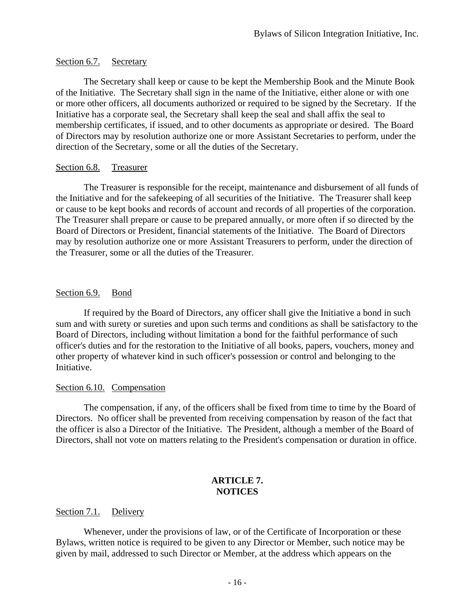# Section 6.7. Secretary

The Secretary shall keep or cause to be kept the Membership Book and the Minute Book of the Initiative. The Secretary shall sign in the name of the Initiative, either alone or with one or more other officers, all documents authorized or required to be signed by the Secretary. If the Initiative has a corporate seal, the Secretary shall keep the seal and shall affix the seal to membership certificates, if issued, and to other documents as appropriate or desired. The Board of Directors may by resolution authorize one or more Assistant Secretaries to perform, under the direction of the Secretary, some or all the duties of the Secretary.

# Section 6.8. Treasurer

The Treasurer is responsible for the receipt, maintenance and disbursement of all funds of the Initiative and for the safekeeping of all securities of the Initiative. The Treasurer shall keep or cause to be kept books and records of account and records of all properties of the corporation. The Treasurer shall prepare or cause to be prepared annually, or more often if so directed by the Board of Directors or President, financial statements of the Initiative. The Board of Directors may by resolution authorize one or more Assistant Treasurers to perform, under the direction of the Treasurer, some or all the duties of the Treasurer.

# Section 6.9. Bond

If required by the Board of Directors, any officer shall give the Initiative a bond in such sum and with surety or sureties and upon such terms and conditions as shall be satisfactory to the Board of Directors, including without limitation a bond for the faithful performance of such officer's duties and for the restoration to the Initiative of all books, papers, vouchers, money and other property of whatever kind in such officer's possession or control and belonging to the Initiative.

# Section 6.10. Compensation

The compensation, if any, of the officers shall be fixed from time to time by the Board of Directors. No officer shall be prevented from receiving compensation by reason of the fact that the officer is also a Director of the Initiative. The President, although a member of the Board of Directors, shall not vote on matters relating to the President's compensation or duration in office.

# **ARTICLE 7. NOTICES**

#### Section 7.1. Delivery

Whenever, under the provisions of law, or of the Certificate of Incorporation or these Bylaws, written notice is required to be given to any Director or Member, such notice may be given by mail, addressed to such Director or Member, at the address which appears on the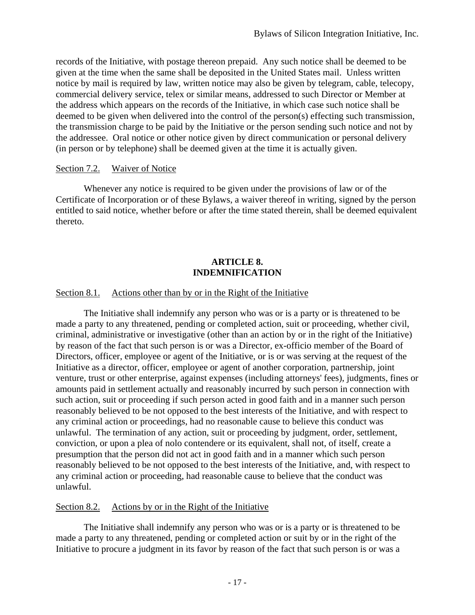records of the Initiative, with postage thereon prepaid. Any such notice shall be deemed to be given at the time when the same shall be deposited in the United States mail. Unless written notice by mail is required by law, written notice may also be given by telegram, cable, telecopy, commercial delivery service, telex or similar means, addressed to such Director or Member at the address which appears on the records of the Initiative, in which case such notice shall be deemed to be given when delivered into the control of the person(s) effecting such transmission, the transmission charge to be paid by the Initiative or the person sending such notice and not by the addressee. Oral notice or other notice given by direct communication or personal delivery (in person or by telephone) shall be deemed given at the time it is actually given.

#### Section 7.2. Waiver of Notice

Whenever any notice is required to be given under the provisions of law or of the Certificate of Incorporation or of these Bylaws, a waiver thereof in writing, signed by the person entitled to said notice, whether before or after the time stated therein, shall be deemed equivalent thereto.

# **ARTICLE 8. INDEMNIFICATION**

# Section 8.1. Actions other than by or in the Right of the Initiative

The Initiative shall indemnify any person who was or is a party or is threatened to be made a party to any threatened, pending or completed action, suit or proceeding, whether civil, criminal, administrative or investigative (other than an action by or in the right of the Initiative) by reason of the fact that such person is or was a Director, ex-officio member of the Board of Directors, officer, employee or agent of the Initiative, or is or was serving at the request of the Initiative as a director, officer, employee or agent of another corporation, partnership, joint venture, trust or other enterprise, against expenses (including attorneys' fees), judgments, fines or amounts paid in settlement actually and reasonably incurred by such person in connection with such action, suit or proceeding if such person acted in good faith and in a manner such person reasonably believed to be not opposed to the best interests of the Initiative, and with respect to any criminal action or proceedings, had no reasonable cause to believe this conduct was unlawful. The termination of any action, suit or proceeding by judgment, order, settlement, conviction, or upon a plea of nolo contendere or its equivalent, shall not, of itself, create a presumption that the person did not act in good faith and in a manner which such person reasonably believed to be not opposed to the best interests of the Initiative, and, with respect to any criminal action or proceeding, had reasonable cause to believe that the conduct was unlawful.

#### Section 8.2. Actions by or in the Right of the Initiative

The Initiative shall indemnify any person who was or is a party or is threatened to be made a party to any threatened, pending or completed action or suit by or in the right of the Initiative to procure a judgment in its favor by reason of the fact that such person is or was a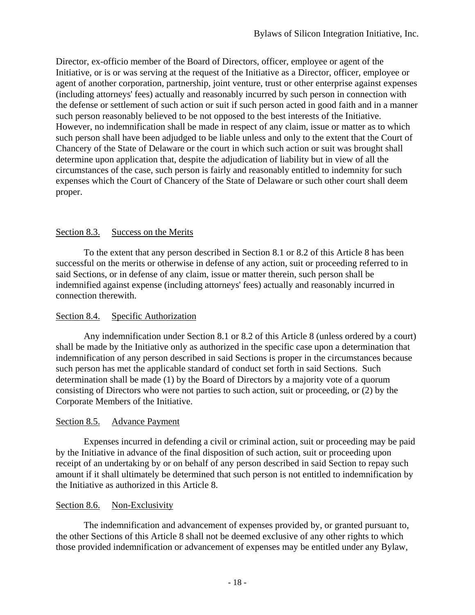Director, ex-officio member of the Board of Directors, officer, employee or agent of the Initiative, or is or was serving at the request of the Initiative as a Director, officer, employee or agent of another corporation, partnership, joint venture, trust or other enterprise against expenses (including attorneys' fees) actually and reasonably incurred by such person in connection with the defense or settlement of such action or suit if such person acted in good faith and in a manner such person reasonably believed to be not opposed to the best interests of the Initiative. However, no indemnification shall be made in respect of any claim, issue or matter as to which such person shall have been adjudged to be liable unless and only to the extent that the Court of Chancery of the State of Delaware or the court in which such action or suit was brought shall determine upon application that, despite the adjudication of liability but in view of all the circumstances of the case, such person is fairly and reasonably entitled to indemnity for such expenses which the Court of Chancery of the State of Delaware or such other court shall deem proper.

# Section 8.3. Success on the Merits

To the extent that any person described in Section 8.1 or 8.2 of this Article 8 has been successful on the merits or otherwise in defense of any action, suit or proceeding referred to in said Sections, or in defense of any claim, issue or matter therein, such person shall be indemnified against expense (including attorneys' fees) actually and reasonably incurred in connection therewith.

# Section 8.4. Specific Authorization

Any indemnification under Section 8.1 or 8.2 of this Article 8 (unless ordered by a court) shall be made by the Initiative only as authorized in the specific case upon a determination that indemnification of any person described in said Sections is proper in the circumstances because such person has met the applicable standard of conduct set forth in said Sections. Such determination shall be made (1) by the Board of Directors by a majority vote of a quorum consisting of Directors who were not parties to such action, suit or proceeding, or (2) by the Corporate Members of the Initiative.

# Section 8.5. Advance Payment

Expenses incurred in defending a civil or criminal action, suit or proceeding may be paid by the Initiative in advance of the final disposition of such action, suit or proceeding upon receipt of an undertaking by or on behalf of any person described in said Section to repay such amount if it shall ultimately be determined that such person is not entitled to indemnification by the Initiative as authorized in this Article 8.

# Section 8.6. Non-Exclusivity

The indemnification and advancement of expenses provided by, or granted pursuant to, the other Sections of this Article 8 shall not be deemed exclusive of any other rights to which those provided indemnification or advancement of expenses may be entitled under any Bylaw,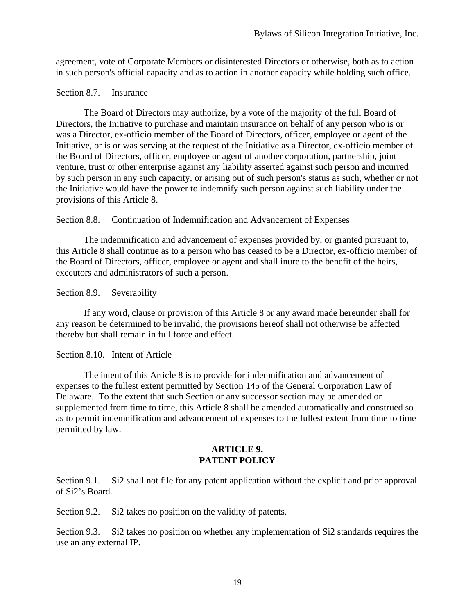agreement, vote of Corporate Members or disinterested Directors or otherwise, both as to action in such person's official capacity and as to action in another capacity while holding such office.

# Section 8.7. Insurance

The Board of Directors may authorize, by a vote of the majority of the full Board of Directors, the Initiative to purchase and maintain insurance on behalf of any person who is or was a Director, ex-officio member of the Board of Directors, officer, employee or agent of the Initiative, or is or was serving at the request of the Initiative as a Director, ex-officio member of the Board of Directors, officer, employee or agent of another corporation, partnership, joint venture, trust or other enterprise against any liability asserted against such person and incurred by such person in any such capacity, or arising out of such person's status as such, whether or not the Initiative would have the power to indemnify such person against such liability under the provisions of this Article 8.

# Section 8.8. Continuation of Indemnification and Advancement of Expenses

The indemnification and advancement of expenses provided by, or granted pursuant to, this Article 8 shall continue as to a person who has ceased to be a Director, ex-officio member of the Board of Directors, officer, employee or agent and shall inure to the benefit of the heirs, executors and administrators of such a person.

# Section 8.9. Severability

If any word, clause or provision of this Article 8 or any award made hereunder shall for any reason be determined to be invalid, the provisions hereof shall not otherwise be affected thereby but shall remain in full force and effect.

# Section 8.10. Intent of Article

The intent of this Article 8 is to provide for indemnification and advancement of expenses to the fullest extent permitted by Section 145 of the General Corporation Law of Delaware. To the extent that such Section or any successor section may be amended or supplemented from time to time, this Article 8 shall be amended automatically and construed so as to permit indemnification and advancement of expenses to the fullest extent from time to time permitted by law.

#### **ARTICLE 9. PATENT POLICY**

Section 9.1. Si2 shall not file for any patent application without the explicit and prior approval of Si2's Board.

Section 9.2. Si2 takes no position on the validity of patents.

Section 9.3. Si2 takes no position on whether any implementation of Si2 standards requires the use an any external IP.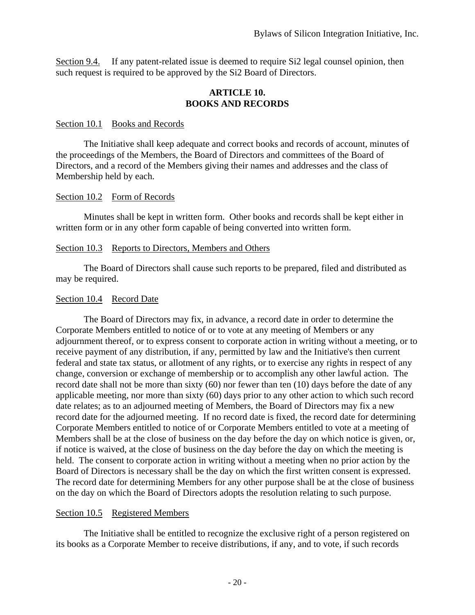Section 9.4. If any patent-related issue is deemed to require Si2 legal counsel opinion, then such request is required to be approved by the Si2 Board of Directors.

#### **ARTICLE 10. BOOKS AND RECORDS**

#### Section 10.1 Books and Records

The Initiative shall keep adequate and correct books and records of account, minutes of the proceedings of the Members, the Board of Directors and committees of the Board of Directors, and a record of the Members giving their names and addresses and the class of Membership held by each.

#### Section 10.2 Form of Records

Minutes shall be kept in written form. Other books and records shall be kept either in written form or in any other form capable of being converted into written form.

#### Section 10.3 Reports to Directors, Members and Others

The Board of Directors shall cause such reports to be prepared, filed and distributed as may be required.

#### Section 10.4 Record Date

The Board of Directors may fix, in advance, a record date in order to determine the Corporate Members entitled to notice of or to vote at any meeting of Members or any adjournment thereof, or to express consent to corporate action in writing without a meeting, or to receive payment of any distribution, if any, permitted by law and the Initiative's then current federal and state tax status, or allotment of any rights, or to exercise any rights in respect of any change, conversion or exchange of membership or to accomplish any other lawful action. The record date shall not be more than sixty (60) nor fewer than ten (10) days before the date of any applicable meeting, nor more than sixty (60) days prior to any other action to which such record date relates; as to an adjourned meeting of Members, the Board of Directors may fix a new record date for the adjourned meeting. If no record date is fixed, the record date for determining Corporate Members entitled to notice of or Corporate Members entitled to vote at a meeting of Members shall be at the close of business on the day before the day on which notice is given, or, if notice is waived, at the close of business on the day before the day on which the meeting is held. The consent to corporate action in writing without a meeting when no prior action by the Board of Directors is necessary shall be the day on which the first written consent is expressed. The record date for determining Members for any other purpose shall be at the close of business on the day on which the Board of Directors adopts the resolution relating to such purpose.

#### Section 10.5 Registered Members

The Initiative shall be entitled to recognize the exclusive right of a person registered on its books as a Corporate Member to receive distributions, if any, and to vote, if such records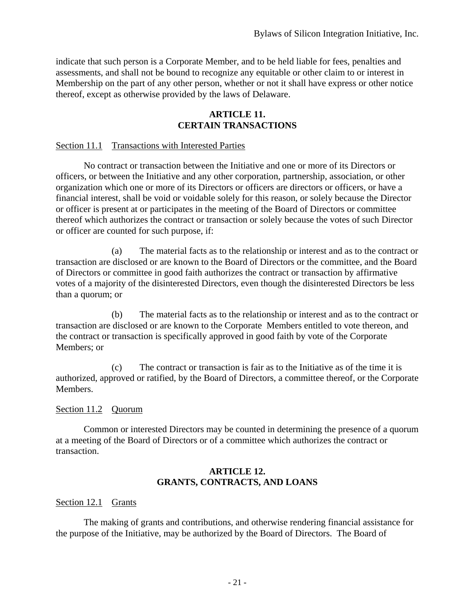indicate that such person is a Corporate Member, and to be held liable for fees, penalties and assessments, and shall not be bound to recognize any equitable or other claim to or interest in Membership on the part of any other person, whether or not it shall have express or other notice thereof, except as otherwise provided by the laws of Delaware.

#### **ARTICLE 11. CERTAIN TRANSACTIONS**

#### Section 11.1 Transactions with Interested Parties

No contract or transaction between the Initiative and one or more of its Directors or officers, or between the Initiative and any other corporation, partnership, association, or other organization which one or more of its Directors or officers are directors or officers, or have a financial interest, shall be void or voidable solely for this reason, or solely because the Director or officer is present at or participates in the meeting of the Board of Directors or committee thereof which authorizes the contract or transaction or solely because the votes of such Director or officer are counted for such purpose, if:

(a) The material facts as to the relationship or interest and as to the contract or transaction are disclosed or are known to the Board of Directors or the committee, and the Board of Directors or committee in good faith authorizes the contract or transaction by affirmative votes of a majority of the disinterested Directors, even though the disinterested Directors be less than a quorum; or

(b) The material facts as to the relationship or interest and as to the contract or transaction are disclosed or are known to the Corporate Members entitled to vote thereon, and the contract or transaction is specifically approved in good faith by vote of the Corporate Members; or

(c) The contract or transaction is fair as to the Initiative as of the time it is authorized, approved or ratified, by the Board of Directors, a committee thereof, or the Corporate Members.

#### Section 11.2 Quorum

Common or interested Directors may be counted in determining the presence of a quorum at a meeting of the Board of Directors or of a committee which authorizes the contract or transaction.

#### **ARTICLE 12. GRANTS, CONTRACTS, AND LOANS**

#### Section 12.1 Grants

The making of grants and contributions, and otherwise rendering financial assistance for the purpose of the Initiative, may be authorized by the Board of Directors. The Board of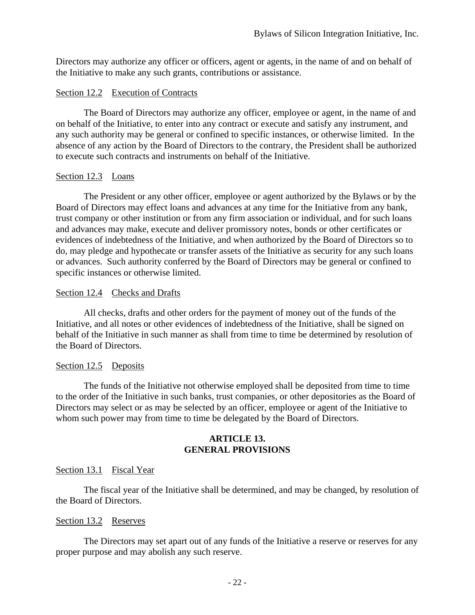Directors may authorize any officer or officers, agent or agents, in the name of and on behalf of the Initiative to make any such grants, contributions or assistance.

#### Section 12.2 Execution of Contracts

The Board of Directors may authorize any officer, employee or agent, in the name of and on behalf of the Initiative, to enter into any contract or execute and satisfy any instrument, and any such authority may be general or confined to specific instances, or otherwise limited. In the absence of any action by the Board of Directors to the contrary, the President shall be authorized to execute such contracts and instruments on behalf of the Initiative.

#### Section 12.3 Loans

The President or any other officer, employee or agent authorized by the Bylaws or by the Board of Directors may effect loans and advances at any time for the Initiative from any bank, trust company or other institution or from any firm association or individual, and for such loans and advances may make, execute and deliver promissory notes, bonds or other certificates or evidences of indebtedness of the Initiative, and when authorized by the Board of Directors so to do, may pledge and hypothecate or transfer assets of the Initiative as security for any such loans or advances. Such authority conferred by the Board of Directors may be general or confined to specific instances or otherwise limited.

#### Section 12.4 Checks and Drafts

All checks, drafts and other orders for the payment of money out of the funds of the Initiative, and all notes or other evidences of indebtedness of the Initiative, shall be signed on behalf of the Initiative in such manner as shall from time to time be determined by resolution of the Board of Directors.

#### Section 12.5 Deposits

The funds of the Initiative not otherwise employed shall be deposited from time to time to the order of the Initiative in such banks, trust companies, or other depositories as the Board of Directors may select or as may be selected by an officer, employee or agent of the Initiative to whom such power may from time to time be delegated by the Board of Directors.

#### **ARTICLE 13. GENERAL PROVISIONS**

#### Section 13.1 Fiscal Year

The fiscal year of the Initiative shall be determined, and may be changed, by resolution of the Board of Directors.

#### Section 13.2 Reserves

The Directors may set apart out of any funds of the Initiative a reserve or reserves for any proper purpose and may abolish any such reserve.